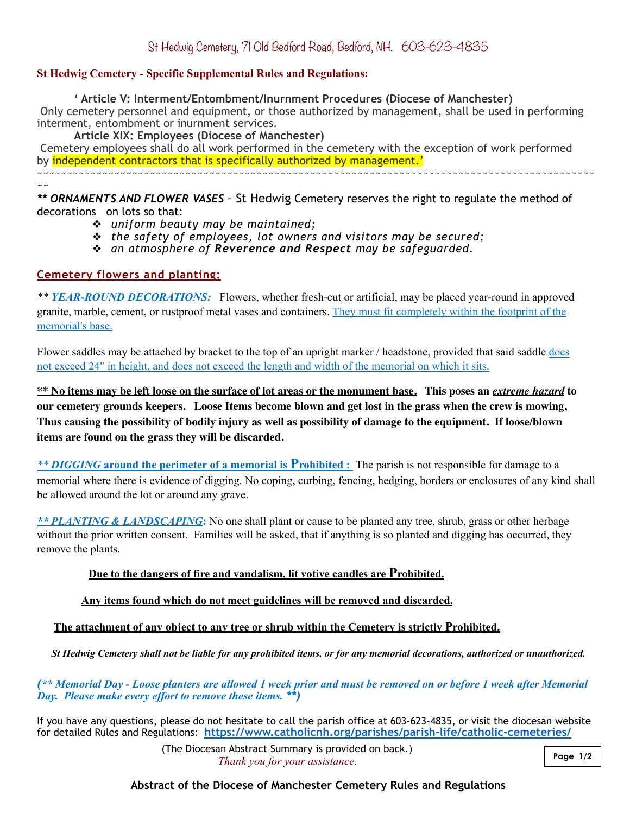### **St Hedwig Cemetery - Specific Supplemental Rules and Regulations:**

 **' Article V: Interment/Entombment/Inurnment Procedures (Diocese of Manchester)**

 Only cemetery personnel and equipment, or those authorized by management, shall be used in performing interment, entombment or inurnment services.

**Article XIX: Employees (Diocese of Manchester)**

 Cemetery employees shall do all work performed in the cemetery with the exception of work performed by independent contractors that is specifically authorized by management.'

~~~~~~~~~~~~~~~~~~~~~~~~~~~~~~~~~~~~~~~~~~~~~~~~~~~~~~~~~~~~~~~~~~~~~~~~~~~~~~~~~~~~~~~~~~~~~~

 $\sim$   $\sim$ *\*\* ORNAMENTS AND FLOWER VASES –* St Hedwig Cemetery reserves the right to regulate the method of decorations on lots so that:

- ❖ *uniform beauty may be maintained;*
- ❖ *the safety of employees, lot owners and visitors may be secured;*
- ❖ *an atmosphere of Reverence and Respect may be safeguarded.*

## **Cemetery flowers and planting:**

*\*\* YEAR-ROUND DECORATIONS:* Flowers, whether fresh-cut or artificial, may be placed year-round in approved granite, marble, cement, or rustproof metal vases and containers. They must fit completely within the footprint of the memorial's base.

Flower saddles may be attached by bracket to the top of an upright marker / headstone, provided that said saddle does not exceed 24" in height, and does not exceed the length and width of the memorial on which it sits.

**\*\*** No items may be left loose on the surface of lot areas or the monument base. This poses an *extreme hazard* to **our cemetery grounds keepers. Loose Items become blown and get lost in the grass when the crew is mowing, Thus causing the possibility of bodily injury as well as possibility of damage to the equipment. If loose/blown items are found on the grass they will be discarded.** 

*\*\* DIGGING* **around the perimeter of a memorial is Prohibited :** The parish is not responsible for damage to a memorial where there is evidence of digging. No coping, curbing, fencing, hedging, borders or enclosures of any kind shall be allowed around the lot or around any grave.

*\*\* PLANTING & LANDSCAPING***:** No one shall plant or cause to be planted any tree, shrub, grass or other herbage without the prior written consent. Families will be asked, that if anything is so planted and digging has occurred, they remove the plants.

# **Due to the dangers of fire and vandalism, lit votive candles are Prohibited.**

### **Any items found which do not meet guidelines will be removed and discarded.**

### **The attachment of any object to any tree or shrub within the Cemetery is strictly Prohibited.**

*St Hedwig Cemetery shall not be liable for any prohibited items, or for any memorial decorations, authorized or unauthorized.* 

*(\*\* Memorial Day - Loose planters are allowed 1 week prior and must be removed on or before 1 week after Memorial Day. Please make every effort to remove these items. \*\*)* 

If you have any questions, please do not hesitate to call the parish office at 603-623-4835, or visit the diocesan website for detailed Rules and Regulations: **<https://www.catholicnh.org/parishes/parish-life/catholic-cemeteries/>** 

> (The Diocesan Abstract Summary is provided on back.) *Thank you for your assistance.*

### **Abstract of the Diocese of Manchester Cemetery Rules and Regulations**